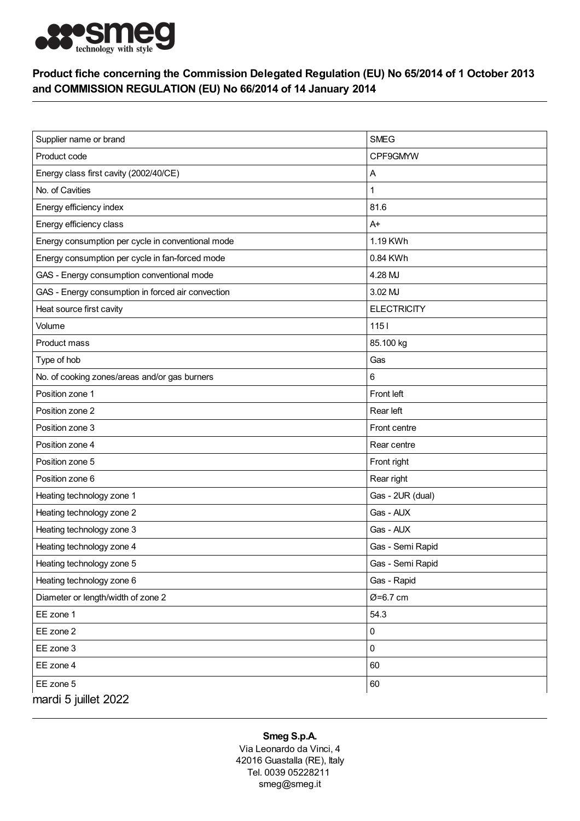

## Product fiche concerning the Commission Delegated Regulation (EU) No 65/2014 of 1 October 2013 and COMMISSION REGULATION (EU) No 66/2014 of 14 January 2014

| Supplier name or brand                            | <b>SMEG</b>        |
|---------------------------------------------------|--------------------|
| Product code                                      | CPF9GMYW           |
| Energy class first cavity (2002/40/CE)            | Α                  |
| No. of Cavities                                   |                    |
| Energy efficiency index                           | 81.6               |
| Energy efficiency class                           | $A+$               |
| Energy consumption per cycle in conventional mode | 1.19 KWh           |
| Energy consumption per cycle in fan-forced mode   | 0.84 KWh           |
| GAS - Energy consumption conventional mode        | 4.28 MJ            |
| GAS - Energy consumption in forced air convection | 3.02 MJ            |
| Heat source first cavity                          | <b>ELECTRICITY</b> |
| Volume                                            | $1151$             |
| Product mass                                      | 85.100 kg          |
| Type of hob                                       | Gas                |
| No. of cooking zones/areas and/or gas burners     | 6                  |
| Position zone 1                                   | Front left         |
| Position zone 2                                   | Rear left          |
| Position zone 3                                   | Front centre       |
| Position zone 4                                   | Rear centre        |
| Position zone 5                                   | Front right        |
| Position zone 6                                   | Rear right         |
| Heating technology zone 1                         | Gas - 2UR (dual)   |
| Heating technology zone 2                         | Gas - AUX          |
| Heating technology zone 3                         | Gas - AUX          |
| Heating technology zone 4                         | Gas - Semi Rapid   |
| Heating technology zone 5                         | Gas - Semi Rapid   |
| Heating technology zone 6                         | Gas - Rapid        |
| Diameter or length/width of zone 2                | Ø=6.7 cm           |
| EE zone 1                                         | 54.3               |
| EE zone 2                                         | 0                  |
| EE zone 3                                         | $\mathbf 0$        |
| EE zone 4                                         | 60                 |
| EE zone 5                                         | 60                 |
| mardi 5 juillet 2022                              |                    |

## Smeg S.p.A.

Via Leonardo da Vinci, 4 42016 Guastalla (RE), Italy Tel. 0039 05228211 smeg@smeg.it